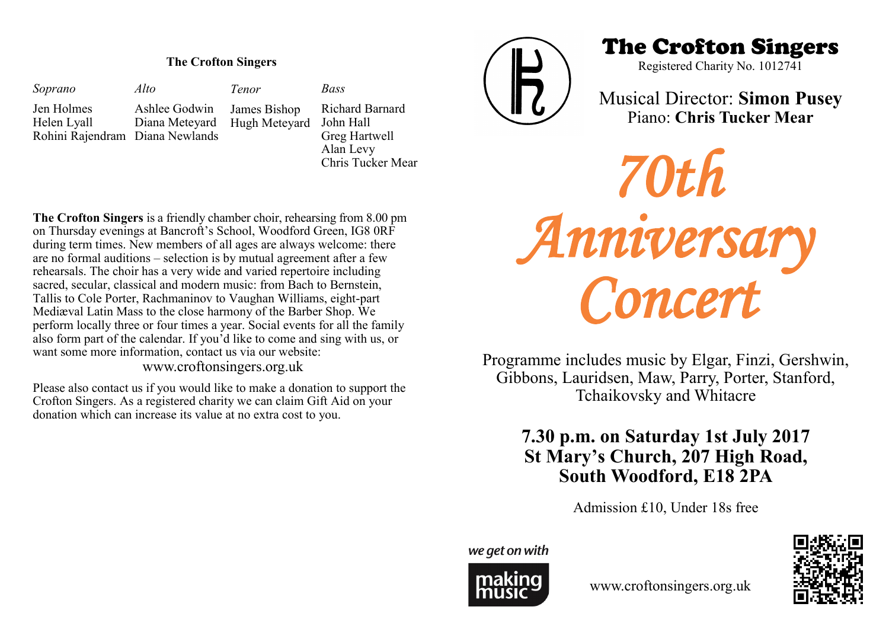### **The Crofton Singers**

*Soprano* Jen Holmes Helen Lyall Rohini Rajendram Diana Newlands *Alto* Ashlee Godwin Diana Meteyard Hugh Meteyard *Bass Tenor* James Bishop

Richard Barnard John Hall Greg Hartwell Alan Levy Chris Tucker Mear

**The Crofton Singers** is a friendly chamber choir, rehearsing from 8.00 pm on Thursday evenings at Bancroft's School, Woodford Green, IG8 0RF during term times. New members of all ages are always welcome: there are no formal auditions – selection is by mutual agreement after a few rehearsals. The choir has a very wide and varied repertoire including sacred, secular, classical and modern music: from Bach to Bernstein, Tallis to Cole Porter, Rachmaninov to Vaughan Williams, eight-part Mediæval Latin Mass to the close harmony of the Barber Shop. We perform locally three or four times a year. Social events for all the family also form part of the calendar. If you'd like to come and sing with us, or want some more information, contact us via our website:

www.croftonsingers.org.uk

Please also contact us if you would like to make a donation to support the Crofton Singers. As a registered charity we can claim Gift Aid on your donation which can increase its value at no extra cost to you.



The Crofton Singers

Registered Charity No. 1012741

Musical Director: **Simon Pusey** Piano: **Chris Tucker Mear**

*70th Anniversary Concert* 

Programme includes music by Elgar, Finzi, Gershwin, Gibbons, Lauridsen, Maw, Parry, Porter, Stanford, Tchaikovsky and Whitacre

# **7.30 p.m. on Saturday 1st July 2017 St Mary's Church, 207 High Road, South Woodford, E18 2PA**

Admission £10, Under 18s free

we get on with



www.croftonsingers.org.uk